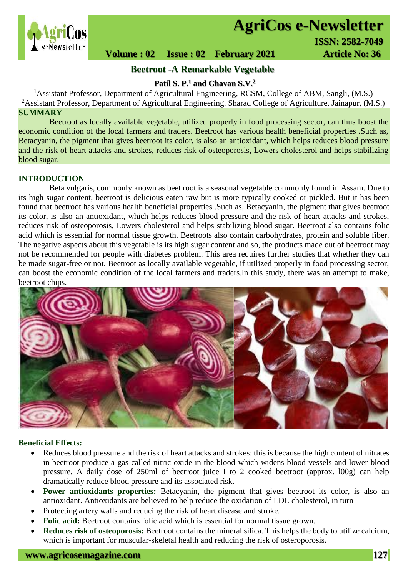

# **AgriCos e-Newsletter**

 **Volume : 02 Issue : 02 February 2021 4rticle No: 36** 

# **Beetroot -A Remarkable Vegetable**

**Patil S. P.<sup>1</sup> and Chavan S.V.<sup>2</sup>**

<sup>1</sup> Assistant Professor, Department of Agricultural Engineering, RCSM, College of ABM, Sangli, (M.S.) <sup>2</sup>Assistant Professor, Department of Agricultural Engineering. Sharad College of Agriculture, Jainapur, (M.S.) **SUMMARY**

 Beetroot as locally available vegetable, utilized properly in food processing sector, can thus boost the economic condition of the local farmers and traders. Beetroot has various health beneficial properties .Such as, Betacyanin, the pigment that gives beetroot its color, is also an antioxidant, which helps reduces blood pressure and the risk of heart attacks and strokes, reduces risk of osteoporosis, Lowers cholesterol and helps stabilizing blood sugar.

## **INTRODUCTION**

Beta vulgaris, commonly known as beet root is a seasonal vegetable commonly found in Assam. Due to its high sugar content, beetroot is delicious eaten raw but is more typically cooked or pickled. But it has been found that beetroot has various health beneficial properties .Such as, Betacyanin, the pigment that gives beetroot its color, is also an antioxidant, which helps reduces blood pressure and the risk of heart attacks and strokes, reduces risk of osteoporosis, Lowers cholesterol and helps stabilizing blood sugar. Beetroot also contains folic acid which is essential for normal tissue growth. Beetroots also contain carbohydrates, protein and soluble fiber. The negative aspects about this vegetable is its high sugar content and so, the products made out of beetroot may not be recommended for people with diabetes problem. This area requires further studies that whether they can be made sugar-free or not. Beetroot as locally available vegetable, if utilized properly in food processing sector, can boost the economic condition of the local farmers and traders.ln this study, there was an attempt to make, beetroot chips.



#### **Beneficial Effects:**

- Reduces blood pressure and the risk of heart attacks and strokes: this is because the high content of nitrates in beetroot produce a gas called nitric oxide in the blood which widens blood vessels and lower blood pressure. A daily dose of 250ml of beetroot juice I to 2 cooked beetroot (approx. l00g) can help dramatically reduce blood pressure and its associated risk.
- **Power antioxidants properties:** Betacyanin, the pigment that gives beetroot its color, is also an antioxidant. Antioxidants are believed to help reduce the oxidation of LDL cholesterol, in turn
- Protecting artery walls and reducing the risk of heart disease and stroke.
- **Folic acid:** Beetroot contains folic acid which is essential for normal tissue grown.
- **Reduces risk of osteoporosis:** Beetroot contains the mineral silica. This helps the body to utilize calcium, which is important for muscular-skeletal health and reducing the risk of osteroporosis.